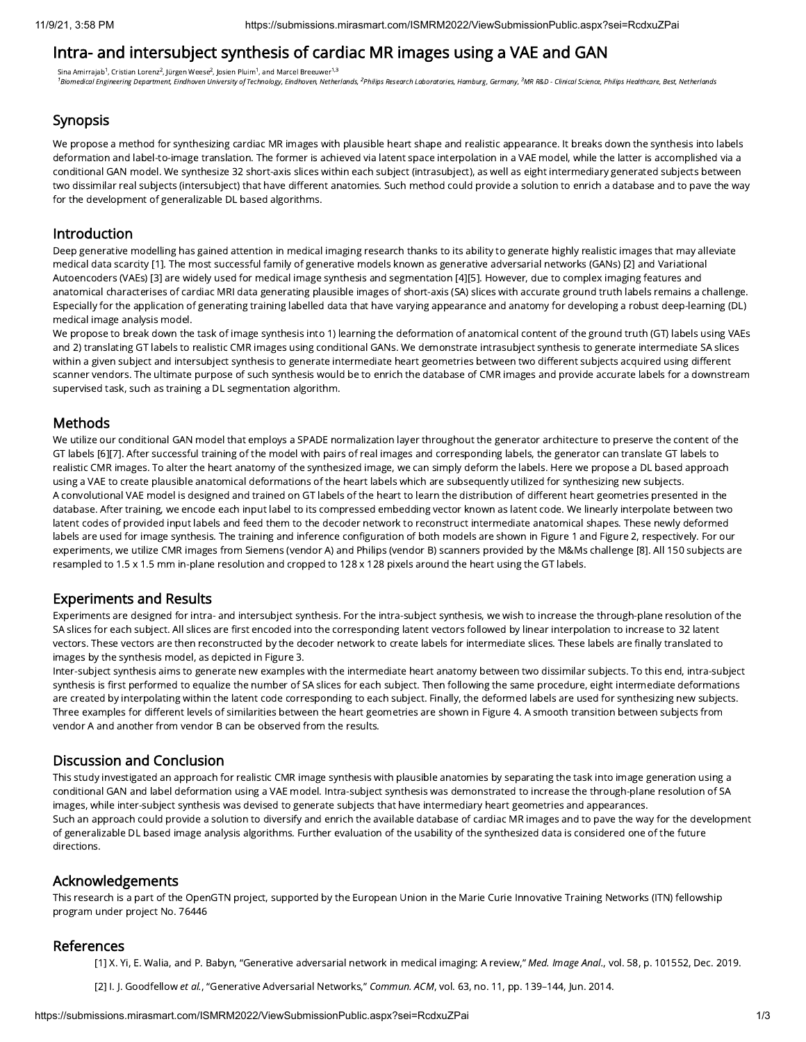# Intra- and intersubject synthesis of cardiac MR images using a VAE and GAN

Sina Amirrajab $^1$ , Cristian Lorenz $^2$ , Jürgen Weese $^2$ , Josien Pluim $^1$ , and Marcel Breeuwer $^{1,3}$ <sup>1</sup>Biomedical Engineering Department, Eindhoven University of Technology, Eindhoven, Netherlands, <sup>2</sup>Philips Research Laboratories, Hamburg, Germany, <sup>3</sup>MR R&D - Clinical Science, Philips Healthcare, Best, Netherlands

## Synopsis

We propose a method for synthesizing cardiac MR images with plausible heart shape and realistic appearance. It breaks down the synthesis into labels deformation and label-to-image translation. The former is achieved via latent space interpolation in a VAE model, while the latter is accomplished via a conditional GAN model. We synthesize 32 short-axis slices within each subject (intrasubject), as well as eight intermediary generated subjects between two dissimilar real subjects (intersubject) that have different anatomies. Such method could provide a solution to enrich a database and to pave the way for the development of generalizable DL based algorithms.

#### Introduction

Deep generative modelling has gained attention in medical imaging research thanks to its ability to generate highly realistic images that may alleviate medical data scarcity [1]. The most successful family of generative models known as generative adversarial networks (GANs) [2] and Variational Autoencoders (VAEs) [3] are widely used for medical image synthesis and segmentation [4][5]. However, due to complex imaging features and anatomical characterises of cardiac MRI data generating plausible images of short-axis (SA) slices with accurate ground truth labels remains a challenge. Especially for the application of generating training labelled data that have varying appearance and anatomy for developing a robust deep-learning (DL) medical image analysis model.

We propose to break down the task of image synthesis into 1) learning the deformation of anatomical content of the ground truth (GT) labels using VAEs and 2) translating GT labels to realistic CMR images using conditional GANs. We demonstrate intrasubject synthesis to generate intermediate SA slices within a given subject and intersubject synthesis to generate intermediate heart geometries between two different subjects acquired using different scanner vendors. The ultimate purpose of such synthesis would be to enrich the database of CMR images and provide accurate labels for a downstream supervised task, such as training a DL segmentation algorithm.

## Methods

We utilize our conditional GAN model that employs a SPADE normalization layer throughout the generator architecture to preserve the content of the GT labels [6][7]. After successful training of the model with pairs of real images and corresponding labels, the generator can translate GT labels to realistic CMR images. To alter the heart anatomy of the synthesized image, we can simply deform the labels. Here we propose a DL based approach using a VAE to create plausible anatomical deformations of the heart labels which are subsequently utilized for synthesizing new subjects. A convolutional VAE model is designed and trained on GT labels of the heart to learn the distribution of different heart geometries presented in the database. After training, we encode each input label to its compressed embedding vector known as latent code. We linearly interpolate between two latent codes of provided input labels and feed them to the decoder network to reconstruct intermediate anatomical shapes. These newly deformed labels are used for image synthesis. The training and inference configuration of both models are shown in Figure 1 and Figure 2, respectively. For our experiments, we utilize CMR images from Siemens (vendor A) and Philips (vendor B) scanners provided by the M&Ms challenge [8]. All 150 subjects are resampled to 1.5 x 1.5 mm in-plane resolution and cropped to 128 x 128 pixels around the heart using the GT labels.

## Experiments and Results

Experiments are designed for intra- and intersubject synthesis. For the intra-subject synthesis, we wish to increase the through-plane resolution of the SA slices for each subject. All slices are first encoded into the corresponding latent vectors followed by linear interpolation to increase to 32 latent vectors. These vectors are then reconstructed by the decoder network to create labels for intermediate slices. These labels are finally translated to images by the synthesis model, as depicted in Figure 3.

Inter-subject synthesis aims to generate new examples with the intermediate heart anatomy between two dissimilar subjects. To this end, intra-subject synthesis is first performed to equalize the number of SA slices for each subject. Then following the same procedure, eight intermediate deformations are created by interpolating within the latent code corresponding to each subject. Finally, the deformed labels are used for synthesizing new subjects. Three examples for different levels of similarities between the heart geometries are shown in Figure 4. A smooth transition between subjects from vendor A and another from vendor B can be observed from the results.

## Discussion and Conclusion

This study investigated an approach for realistic CMR image synthesis with plausible anatomies by separating the task into image generation using a conditional GAN and label deformation using a VAE model. Intra-subject synthesis was demonstrated to increase the through-plane resolution of SA images, while inter-subject synthesis was devised to generate subjects that have intermediary heart geometries and appearances. Such an approach could provide a solution to diversify and enrich the available database of cardiac MR images and to pave the way for the development of generalizable DL based image analysis algorithms. Further evaluation of the usability of the synthesized data is considered one of the future directions.

## Acknowledgements

This research is a part of the OpenGTN project, supported by the European Union in the Marie Curie Innovative Training Networks (ITN) fellowship program under project No. 76446

## References

[1] X. Yi, E. Walia, and P. Babyn, "Generative adversarial network in medical imaging: A review," Med. Image Anal., vol. 58, p. 101552, Dec. 2019.

[2] I. J. Goodfellow et al., "Generative Adversarial Networks," Commun. ACM, vol. 63, no. 11, pp. 139-144, Jun. 2014.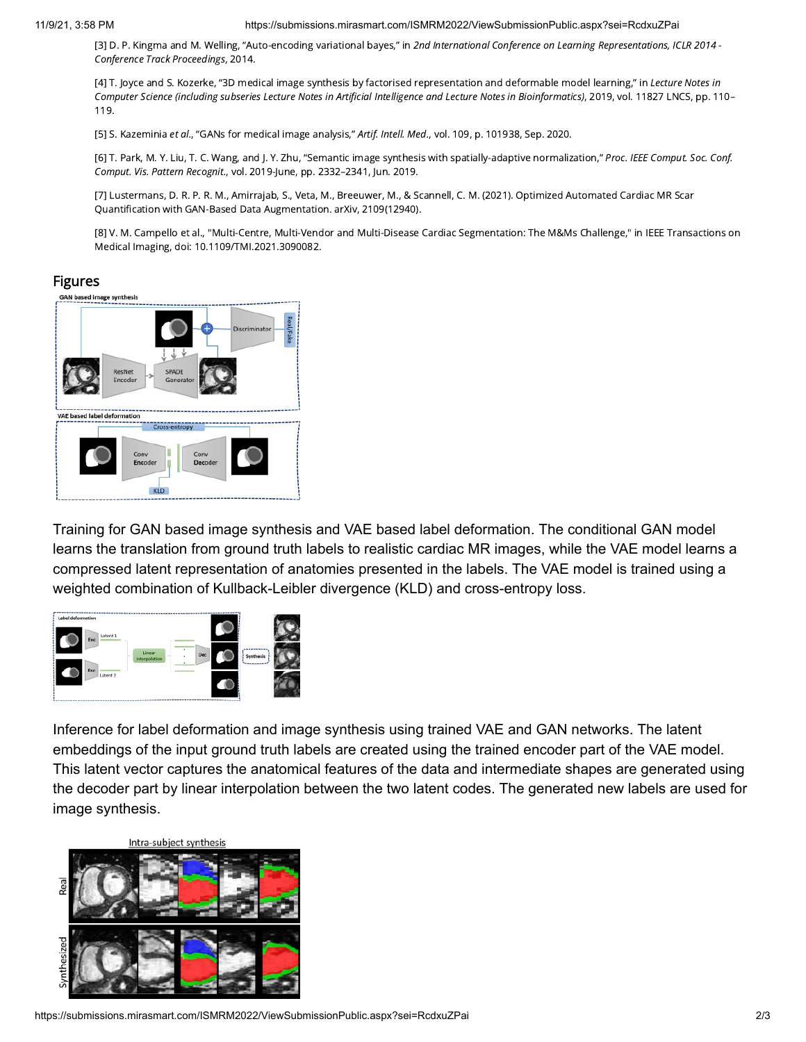#### 11/9/21, 3:58 PM https://submissions.mirasmart.com/ISMRM2022/ViewSubmissionPublic.aspx?sei=RcdxuZPai

[3] D. P. Kingma and M. Welling, "Auto-encoding variational bayes," in 2nd International Conference on Learning Representations, ICLR 2014 -Conference Track Proceedings, 2014.

[4] T. Joyce and S. Kozerke, "3D medical image synthesis by factorised representation and deformable model learning," in Lecture Notes in Computer Science (including subseries Lecture Notes in Artificial Intelligence and Lecture Notes in Bioinformatics), 2019, vol. 11827 LNCS, pp. 110– 119.

[5] S. Kazeminia et al., "GANs for medical image analysis," Artif. Intell. Med., vol. 109, p. 101938, Sep. 2020.

[6] T. Park, M. Y. Liu, T. C. Wang, and J. Y. Zhu, "Semantic image synthesis with spatially-adaptive normalization," Proc. IEEE Comput. Soc. Conf. Comput. Vis. Pattern Recognit., vol. 2019-June, pp. 2332–2341, Jun. 2019.

[7] Lustermans, D. R. P. R. M., Amirrajab, S., Veta, M., Breeuwer, M., & Scannell, C. M. (2021). Optimized Automated Cardiac MR Scar Quantification with GAN-Based Data Augmentation. arXiv, 2109(12940).

[8] V. M. Campello et al., "Multi-Centre, Multi-Vendor and Multi-Disease Cardiac Segmentation: The M&Ms Challenge," in IEEE Transactions on Medical Imaging, doi: 10.1109/TMI.2021.3090082.

## Figures



Training for GAN based image synthesis and VAE based label deformation. The conditional GAN model learns the translation from ground truth labels to realistic cardiac MR images, while the VAE model learns a compressed latent representation of anatomies presented in the labels. The VAE model is trained using a weighted combination of Kullback-Leibler divergence (KLD) and cross-entropy loss.



Inference for label deformation and image synthesis using trained VAE and GAN networks. The latent embeddings of the input ground truth labels are created using the trained encoder part of the VAE model. This latent vector captures the anatomical features of the data and intermediate shapes are generated using the decoder part by linear interpolation between the two latent codes. The generated new labels are used for image synthesis.